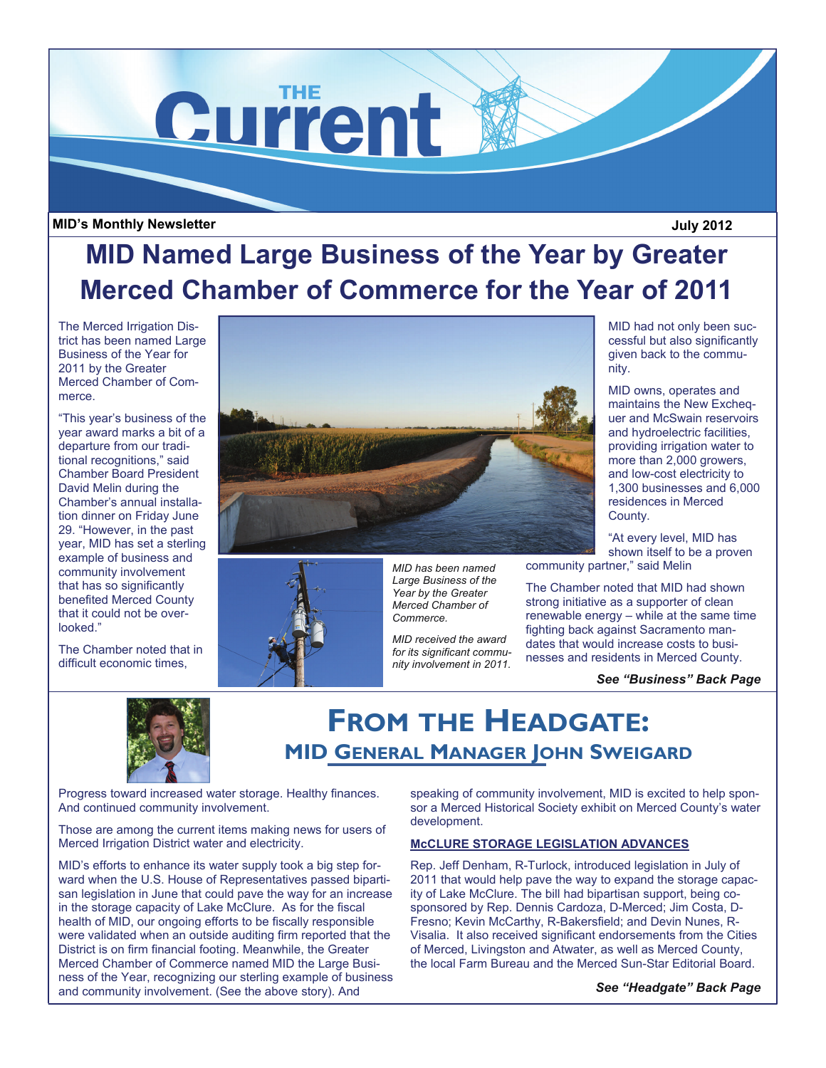

## **MID's Monthly Newsletter July 2012**

# **MID Named Large Business of the Year by Greater Merced Chamber of Commerce for the Year of 2011**

The Merced Irrigation District has been named Large Business of the Year for 2011 by the Greater Merced Chamber of Commerce.

"This year's business of the year award marks a bit of a departure from our traditional recognitions," said Chamber Board President David Melin during the Chamber's annual installation dinner on Friday June 29. "However, in the past year, MID has set a sterling example of business and community involvement that has so significantly benefited Merced County that it could not be overlooked."

The Chamber noted that in difficult economic times,





*MID has been named Large Business of the Year by the Greater Merced Chamber of Commerce.* 

*MID received the award for its significant community involvement in 2011.*  MID had not only been successful but also significantly given back to the community.

MID owns, operates and maintains the New Exchequer and McSwain reservoirs and hydroelectric facilities, providing irrigation water to more than 2,000 growers, and low-cost electricity to 1,300 businesses and 6,000 residences in Merced County.

"At every level, MID has shown itself to be a proven community partner," said Melin

The Chamber noted that MID had shown strong initiative as a supporter of clean renewable energy – while at the same time fighting back against Sacramento mandates that would increase costs to businesses and residents in Merced County.

*See "Business" Back Page* 



## **FROM THE HEADGATE: MID GENERAL MANAGER JOHN SWEIGARD**

Progress toward increased water storage. Healthy finances. And continued community involvement.

Those are among the current items making news for users of Merced Irrigation District water and electricity.

MID's efforts to enhance its water supply took a big step forward when the U.S. House of Representatives passed bipartisan legislation in June that could pave the way for an increase in the storage capacity of Lake McClure. As for the fiscal health of MID, our ongoing efforts to be fiscally responsible were validated when an outside auditing firm reported that the District is on firm financial footing. Meanwhile, the Greater Merced Chamber of Commerce named MID the Large Business of the Year, recognizing our sterling example of business and community involvement. (See the above story). And

speaking of community involvement, MID is excited to help sponsor a Merced Historical Society exhibit on Merced County's water development.

### **McCLURE STORAGE LEGISLATION ADVANCES**

Rep. Jeff Denham, R-Turlock, introduced legislation in July of 2011 that would help pave the way to expand the storage capacity of Lake McClure. The bill had bipartisan support, being cosponsored by Rep. Dennis Cardoza, D-Merced; Jim Costa, D-Fresno; Kevin McCarthy, R-Bakersfield; and Devin Nunes, R-Visalia. It also received significant endorsements from the Cities of Merced, Livingston and Atwater, as well as Merced County, the local Farm Bureau and the Merced Sun-Star Editorial Board.

*See "Headgate" Back Page*